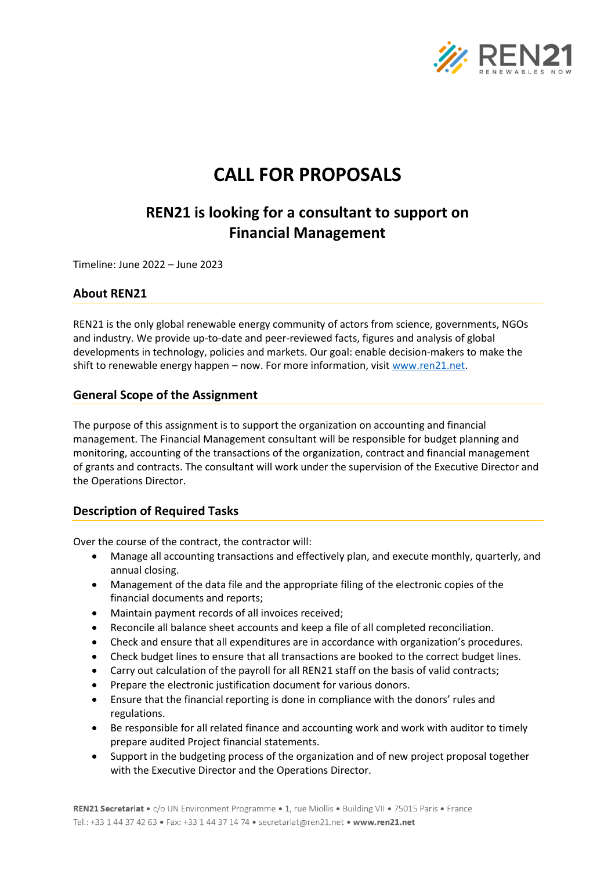

# **CALL FOR PROPOSALS**

## **REN21 is looking for a consultant to support on Financial Management**

Timeline: June 2022 – June 2023

#### **About REN21**

REN21 is the only global renewable energy community of actors from science, governments, NGOs and industry. We provide up-to-date and peer-reviewed facts, figures and analysis of global developments in technology, policies and markets. Our goal: enable decision-makers to make the shift to renewable energy happen - now. For more information, visi[t www.ren21.net.](http://www.ren21.net/)

#### **General Scope of the Assignment**

The purpose of this assignment is to support the organization on accounting and financial management. The Financial Management consultant will be responsible for budget planning and monitoring, accounting of the transactions of the organization, contract and financial management of grants and contracts. The consultant will work under the supervision of the Executive Director and the Operations Director.

#### **Description of Required Tasks**

Over the course of the contract, the contractor will:

- Manage all accounting transactions and effectively plan, and execute monthly, quarterly, and annual closing.
- Management of the data file and the appropriate filing of the electronic copies of the financial documents and reports;
- Maintain payment records of all invoices received;
- Reconcile all balance sheet accounts and keep a file of all completed reconciliation.
- Check and ensure that all expenditures are in accordance with organization's procedures.
- Check budget lines to ensure that all transactions are booked to the correct budget lines.
- Carry out calculation of the payroll for all REN21 staff on the basis of valid contracts;
- Prepare the electronic justification document for various donors.
- Ensure that the financial reporting is done in compliance with the donors' rules and regulations.
- Be responsible for all related finance and accounting work and work with auditor to timely prepare audited Project financial statements.
- Support in the budgeting process of the organization and of new project proposal together with the Executive Director and the Operations Director.